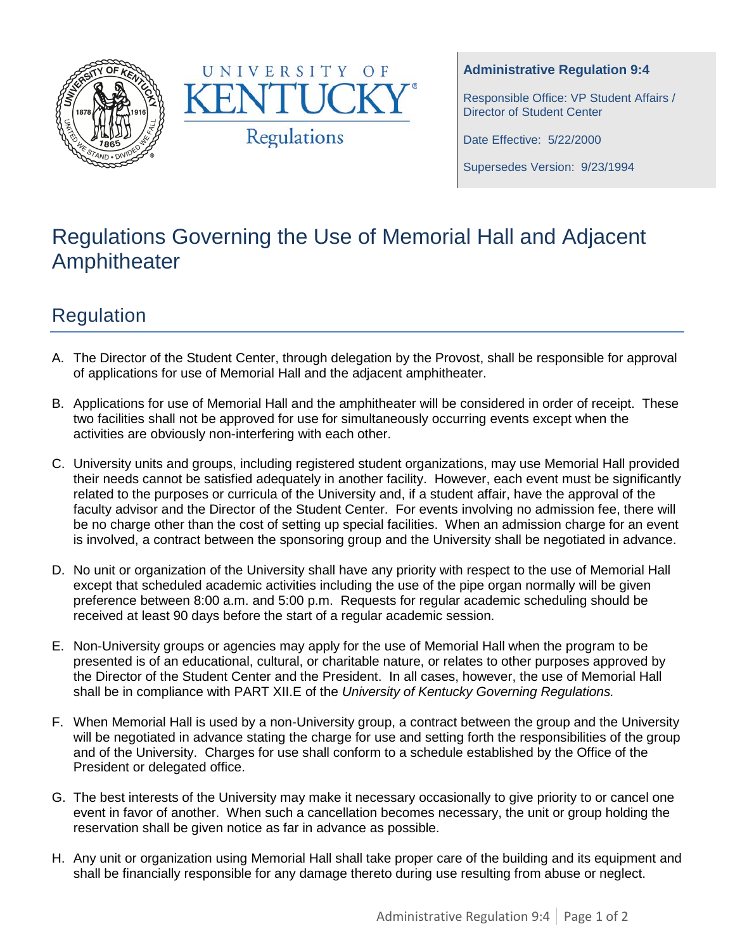



#### **Administrative Regulation 9:4**

Responsible Office: VP Student Affairs / Director of Student Center

Date Effective: 5/22/2000

Supersedes Version: 9/23/1994

# Regulations Governing the Use of Memorial Hall and Adjacent Amphitheater

## Regulation

- A. The Director of the Student Center, through delegation by the Provost, shall be responsible for approval of applications for use of Memorial Hall and the adjacent amphitheater.
- B. Applications for use of Memorial Hall and the amphitheater will be considered in order of receipt. These two facilities shall not be approved for use for simultaneously occurring events except when the activities are obviously non-interfering with each other.
- C. University units and groups, including registered student organizations, may use Memorial Hall provided their needs cannot be satisfied adequately in another facility. However, each event must be significantly related to the purposes or curricula of the University and, if a student affair, have the approval of the faculty advisor and the Director of the Student Center. For events involving no admission fee, there will be no charge other than the cost of setting up special facilities. When an admission charge for an event is involved, a contract between the sponsoring group and the University shall be negotiated in advance.
- D. No unit or organization of the University shall have any priority with respect to the use of Memorial Hall except that scheduled academic activities including the use of the pipe organ normally will be given preference between 8:00 a.m. and 5:00 p.m. Requests for regular academic scheduling should be received at least 90 days before the start of a regular academic session.
- E. Non-University groups or agencies may apply for the use of Memorial Hall when the program to be presented is of an educational, cultural, or charitable nature, or relates to other purposes approved by the Director of the Student Center and the President. In all cases, however, the use of Memorial Hall shall be in compliance with PART XII.E of the *University of Kentucky Governing Regulations.*
- F. When Memorial Hall is used by a non-University group, a contract between the group and the University will be negotiated in advance stating the charge for use and setting forth the responsibilities of the group and of the University. Charges for use shall conform to a schedule established by the Office of the President or delegated office.
- G. The best interests of the University may make it necessary occasionally to give priority to or cancel one event in favor of another. When such a cancellation becomes necessary, the unit or group holding the reservation shall be given notice as far in advance as possible.
- H. Any unit or organization using Memorial Hall shall take proper care of the building and its equipment and shall be financially responsible for any damage thereto during use resulting from abuse or neglect.